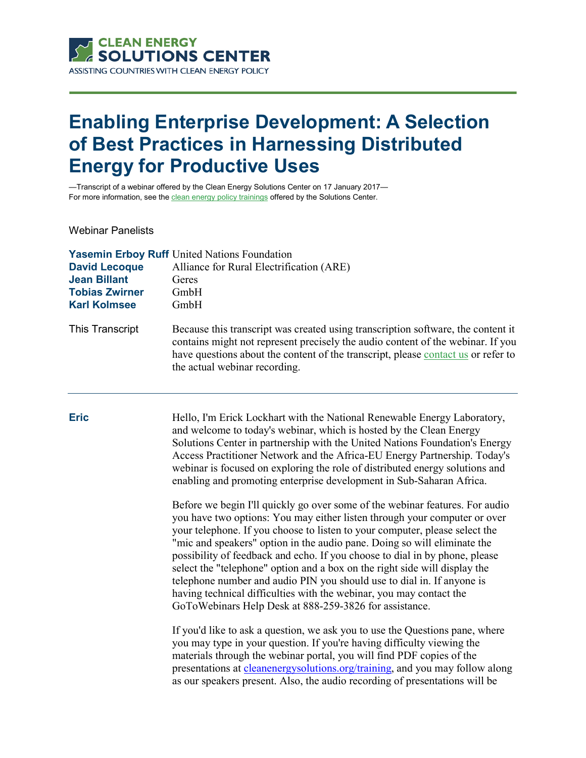

# **Enabling Enterprise Development: A Selection of Best Practices in Harnessing Distributed Energy for Productive Uses**

—Transcript of a webinar offered by the Clean Energy Solutions Center on 17 January 2017— For more information, see th[e clean energy policy trainings](https://cleanenergysolutions.org/training) offered by the Solutions Center.

Webinar Panelists

|                       | <b>Yasemin Erboy Ruff</b> United Nations Foundation                                                                                                                                                                                                                                       |
|-----------------------|-------------------------------------------------------------------------------------------------------------------------------------------------------------------------------------------------------------------------------------------------------------------------------------------|
| <b>David Lecoque</b>  | Alliance for Rural Electrification (ARE)                                                                                                                                                                                                                                                  |
| <b>Jean Billant</b>   | Geres                                                                                                                                                                                                                                                                                     |
| <b>Tobias Zwirner</b> | GmbH                                                                                                                                                                                                                                                                                      |
| <b>Karl Kolmsee</b>   | GmbH                                                                                                                                                                                                                                                                                      |
| This Transcript       | Because this transcript was created using transcription software, the content it<br>contains might not represent precisely the audio content of the webinar. If you<br>have questions about the content of the transcript, please contact us or refer to<br>the actual webinar recording. |

**Eric** Hello, I'm Erick Lockhart with the National Renewable Energy Laboratory, and welcome to today's webinar, which is hosted by the Clean Energy Solutions Center in partnership with the United Nations Foundation's Energy Access Practitioner Network and the Africa-EU Energy Partnership. Today's webinar is focused on exploring the role of distributed energy solutions and enabling and promoting enterprise development in Sub-Saharan Africa.

> Before we begin I'll quickly go over some of the webinar features. For audio you have two options: You may either listen through your computer or over your telephone. If you choose to listen to your computer, please select the "mic and speakers" option in the audio pane. Doing so will eliminate the possibility of feedback and echo. If you choose to dial in by phone, please select the "telephone" option and a box on the right side will display the telephone number and audio PIN you should use to dial in. If anyone is having technical difficulties with the webinar, you may contact the GoToWebinars Help Desk at 888-259-3826 for assistance.

If you'd like to ask a question, we ask you to use the Questions pane, where you may type in your question. If you're having difficulty viewing the materials through the webinar portal, you will find PDF copies of the presentations at *cleanenergysolutions.org/training*, and you may follow along as our speakers present. Also, the audio recording of presentations will be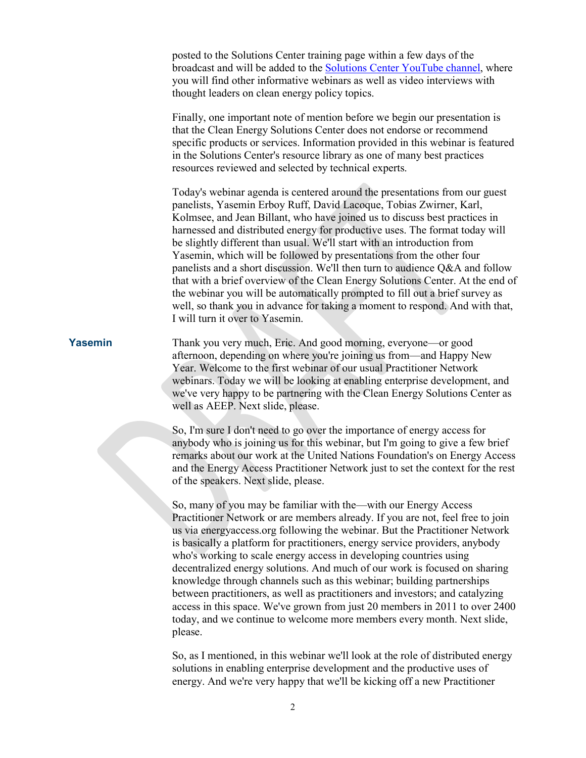posted to the Solutions Center training page within a few days of the broadcast and will be added to the [Solutions Center YouTube channel,](https://www.youtube.com/user/cleanenergypolicy) where you will find other informative webinars as well as video interviews with thought leaders on clean energy policy topics.

Finally, one important note of mention before we begin our presentation is that the Clean Energy Solutions Center does not endorse or recommend specific products or services. Information provided in this webinar is featured in the Solutions Center's resource library as one of many best practices resources reviewed and selected by technical experts.

Today's webinar agenda is centered around the presentations from our guest panelists, Yasemin Erboy Ruff, David Lacoque, Tobias Zwirner, Karl, Kolmsee, and Jean Billant, who have joined us to discuss best practices in harnessed and distributed energy for productive uses. The format today will be slightly different than usual. We'll start with an introduction from Yasemin, which will be followed by presentations from the other four panelists and a short discussion. We'll then turn to audience Q&A and follow that with a brief overview of the Clean Energy Solutions Center. At the end of the webinar you will be automatically prompted to fill out a brief survey as well, so thank you in advance for taking a moment to respond. And with that, I will turn it over to Yasemin.

**Yasemin** Thank you very much, Eric. And good morning, everyone—or good afternoon, depending on where you're joining us from—and Happy New Year. Welcome to the first webinar of our usual Practitioner Network webinars. Today we will be looking at enabling enterprise development, and we've very happy to be partnering with the Clean Energy Solutions Center as well as AEEP. Next slide, please.

> So, I'm sure I don't need to go over the importance of energy access for anybody who is joining us for this webinar, but I'm going to give a few brief remarks about our work at the United Nations Foundation's on Energy Access and the Energy Access Practitioner Network just to set the context for the rest of the speakers. Next slide, please.

> So, many of you may be familiar with the—with our Energy Access Practitioner Network or are members already. If you are not, feel free to join us via energyaccess.org following the webinar. But the Practitioner Network is basically a platform for practitioners, energy service providers, anybody who's working to scale energy access in developing countries using decentralized energy solutions. And much of our work is focused on sharing knowledge through channels such as this webinar; building partnerships between practitioners, as well as practitioners and investors; and catalyzing access in this space. We've grown from just 20 members in 2011 to over 2400 today, and we continue to welcome more members every month. Next slide, please.

> So, as I mentioned, in this webinar we'll look at the role of distributed energy solutions in enabling enterprise development and the productive uses of energy. And we're very happy that we'll be kicking off a new Practitioner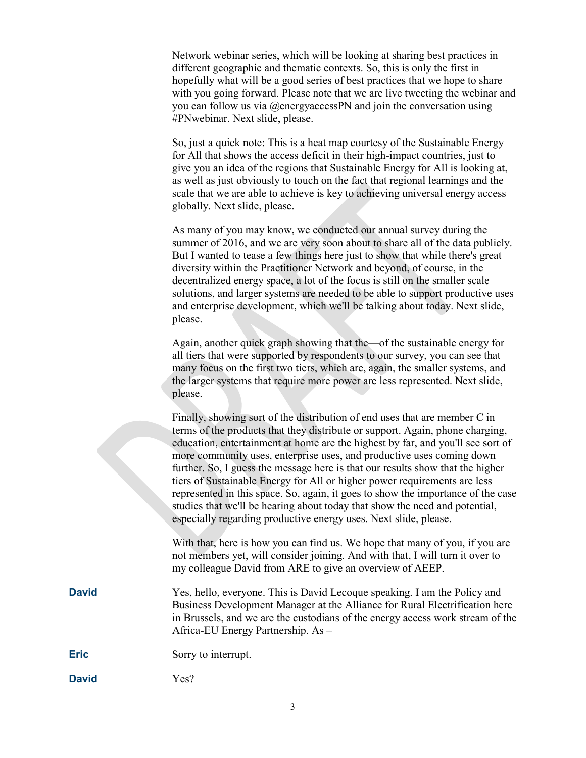Network webinar series, which will be looking at sharing best practices in different geographic and thematic contexts. So, this is only the first in hopefully what will be a good series of best practices that we hope to share with you going forward. Please note that we are live tweeting the webinar and you can follow us via @energyaccessPN and join the conversation using #PNwebinar. Next slide, please.

So, just a quick note: This is a heat map courtesy of the Sustainable Energy for All that shows the access deficit in their high-impact countries, just to give you an idea of the regions that Sustainable Energy for All is looking at, as well as just obviously to touch on the fact that regional learnings and the scale that we are able to achieve is key to achieving universal energy access globally. Next slide, please.

As many of you may know, we conducted our annual survey during the summer of 2016, and we are very soon about to share all of the data publicly. But I wanted to tease a few things here just to show that while there's great diversity within the Practitioner Network and beyond, of course, in the decentralized energy space, a lot of the focus is still on the smaller scale solutions, and larger systems are needed to be able to support productive uses and enterprise development, which we'll be talking about today. Next slide, please.

Again, another quick graph showing that the—of the sustainable energy for all tiers that were supported by respondents to our survey, you can see that many focus on the first two tiers, which are, again, the smaller systems, and the larger systems that require more power are less represented. Next slide, please.

Finally, showing sort of the distribution of end uses that are member C in terms of the products that they distribute or support. Again, phone charging, education, entertainment at home are the highest by far, and you'll see sort of more community uses, enterprise uses, and productive uses coming down further. So, I guess the message here is that our results show that the higher tiers of Sustainable Energy for All or higher power requirements are less represented in this space. So, again, it goes to show the importance of the case studies that we'll be hearing about today that show the need and potential, especially regarding productive energy uses. Next slide, please.

With that, here is how you can find us. We hope that many of you, if you are not members yet, will consider joining. And with that, I will turn it over to my colleague David from ARE to give an overview of AEEP.

**David** Yes, hello, everyone. This is David Lecoque speaking. I am the Policy and Business Development Manager at the Alliance for Rural Electrification here in Brussels, and we are the custodians of the energy access work stream of the Africa-EU Energy Partnership. As –

**Eric** Sorry to interrupt.

**David** Yes?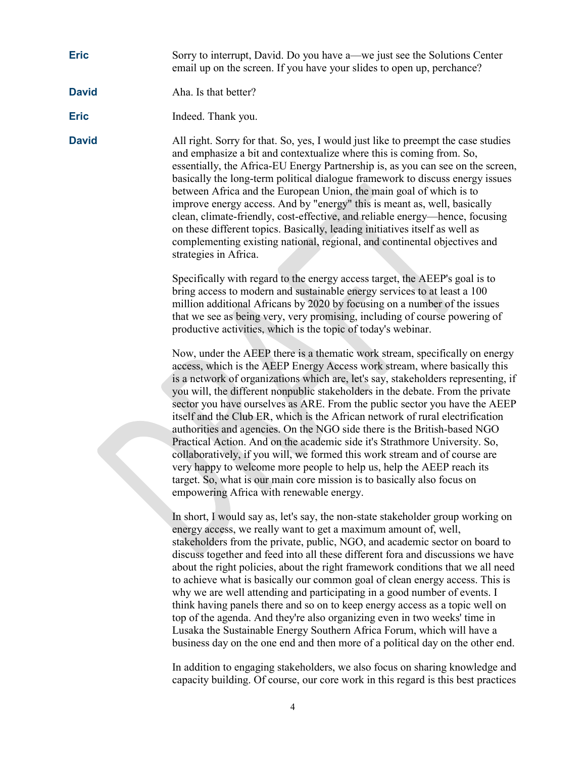## **Eric** Sorry to interrupt, David. Do you have a—we just see the Solutions Center email up on the screen. If you have your slides to open up, perchance?

### **David** Aha. Is that better?

**Eric** Indeed. Thank you.

**David** All right. Sorry for that. So, yes, I would just like to preempt the case studies and emphasize a bit and contextualize where this is coming from. So, essentially, the Africa-EU Energy Partnership is, as you can see on the screen, basically the long-term political dialogue framework to discuss energy issues between Africa and the European Union, the main goal of which is to improve energy access. And by "energy" this is meant as, well, basically clean, climate-friendly, cost-effective, and reliable energy—hence, focusing on these different topics. Basically, leading initiatives itself as well as complementing existing national, regional, and continental objectives and strategies in Africa.

> Specifically with regard to the energy access target, the AEEP's goal is to bring access to modern and sustainable energy services to at least a 100 million additional Africans by 2020 by focusing on a number of the issues that we see as being very, very promising, including of course powering of productive activities, which is the topic of today's webinar.

Now, under the AEEP there is a thematic work stream, specifically on energy access, which is the AEEP Energy Access work stream, where basically this is a network of organizations which are, let's say, stakeholders representing, if you will, the different nonpublic stakeholders in the debate. From the private sector you have ourselves as ARE. From the public sector you have the AEEP itself and the Club ER, which is the African network of rural electrification authorities and agencies. On the NGO side there is the British-based NGO Practical Action. And on the academic side it's Strathmore University. So, collaboratively, if you will, we formed this work stream and of course are very happy to welcome more people to help us, help the AEEP reach its target. So, what is our main core mission is to basically also focus on empowering Africa with renewable energy.

In short, I would say as, let's say, the non-state stakeholder group working on energy access, we really want to get a maximum amount of, well, stakeholders from the private, public, NGO, and academic sector on board to discuss together and feed into all these different fora and discussions we have about the right policies, about the right framework conditions that we all need to achieve what is basically our common goal of clean energy access. This is why we are well attending and participating in a good number of events. I think having panels there and so on to keep energy access as a topic well on top of the agenda. And they're also organizing even in two weeks' time in Lusaka the Sustainable Energy Southern Africa Forum, which will have a business day on the one end and then more of a political day on the other end.

In addition to engaging stakeholders, we also focus on sharing knowledge and capacity building. Of course, our core work in this regard is this best practices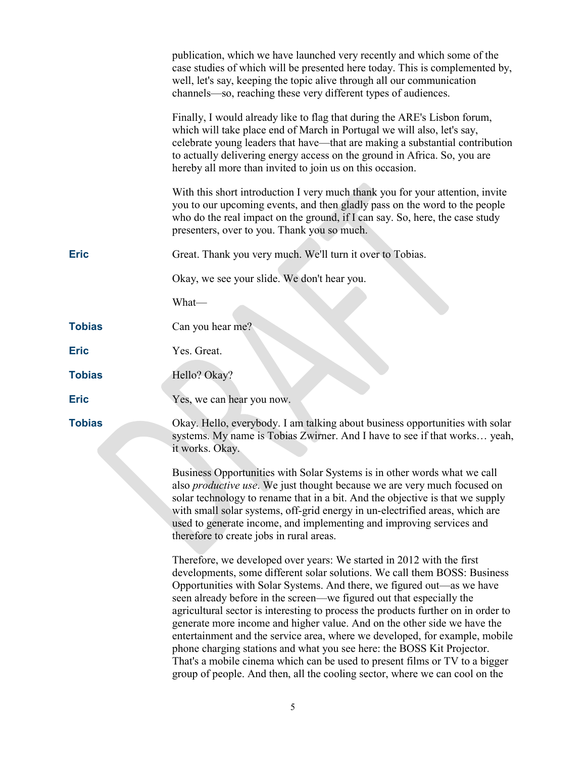|               | publication, which we have launched very recently and which some of the<br>case studies of which will be presented here today. This is complemented by,<br>well, let's say, keeping the topic alive through all our communication<br>channels—so, reaching these very different types of audiences.                                                                                                                                                                                                                                                                                                                                                                                                                                                                                          |
|---------------|----------------------------------------------------------------------------------------------------------------------------------------------------------------------------------------------------------------------------------------------------------------------------------------------------------------------------------------------------------------------------------------------------------------------------------------------------------------------------------------------------------------------------------------------------------------------------------------------------------------------------------------------------------------------------------------------------------------------------------------------------------------------------------------------|
|               | Finally, I would already like to flag that during the ARE's Lisbon forum,<br>which will take place end of March in Portugal we will also, let's say,<br>celebrate young leaders that have—that are making a substantial contribution<br>to actually delivering energy access on the ground in Africa. So, you are<br>hereby all more than invited to join us on this occasion.                                                                                                                                                                                                                                                                                                                                                                                                               |
|               | With this short introduction I very much thank you for your attention, invite<br>you to our upcoming events, and then gladly pass on the word to the people<br>who do the real impact on the ground, if I can say. So, here, the case study<br>presenters, over to you. Thank you so much.                                                                                                                                                                                                                                                                                                                                                                                                                                                                                                   |
| <b>Eric</b>   | Great. Thank you very much. We'll turn it over to Tobias.                                                                                                                                                                                                                                                                                                                                                                                                                                                                                                                                                                                                                                                                                                                                    |
|               | Okay, we see your slide. We don't hear you.                                                                                                                                                                                                                                                                                                                                                                                                                                                                                                                                                                                                                                                                                                                                                  |
|               | What-                                                                                                                                                                                                                                                                                                                                                                                                                                                                                                                                                                                                                                                                                                                                                                                        |
| <b>Tobias</b> | Can you hear me?                                                                                                                                                                                                                                                                                                                                                                                                                                                                                                                                                                                                                                                                                                                                                                             |
| <b>Eric</b>   | Yes. Great.                                                                                                                                                                                                                                                                                                                                                                                                                                                                                                                                                                                                                                                                                                                                                                                  |
| <b>Tobias</b> | Hello? Okay?                                                                                                                                                                                                                                                                                                                                                                                                                                                                                                                                                                                                                                                                                                                                                                                 |
| <b>Eric</b>   | Yes, we can hear you now.                                                                                                                                                                                                                                                                                                                                                                                                                                                                                                                                                                                                                                                                                                                                                                    |
| <b>Tobias</b> | Okay. Hello, everybody. I am talking about business opportunities with solar<br>systems. My name is Tobias Zwirner. And I have to see if that works yeah,<br>it works. Okay.                                                                                                                                                                                                                                                                                                                                                                                                                                                                                                                                                                                                                 |
|               | Business Opportunities with Solar Systems is in other words what we call<br>also <i>productive use</i> . We just thought because we are very much focused on<br>solar technology to rename that in a bit. And the objective is that we supply<br>with small solar systems, off-grid energy in un-electrified areas, which are<br>used to generate income, and implementing and improving services and<br>therefore to create jobs in rural areas.                                                                                                                                                                                                                                                                                                                                            |
|               | Therefore, we developed over years: We started in 2012 with the first<br>developments, some different solar solutions. We call them BOSS: Business<br>Opportunities with Solar Systems. And there, we figured out—as we have<br>seen already before in the screen—we figured out that especially the<br>agricultural sector is interesting to process the products further on in order to<br>generate more income and higher value. And on the other side we have the<br>entertainment and the service area, where we developed, for example, mobile<br>phone charging stations and what you see here: the BOSS Kit Projector.<br>That's a mobile cinema which can be used to present films or TV to a bigger<br>group of people. And then, all the cooling sector, where we can cool on the |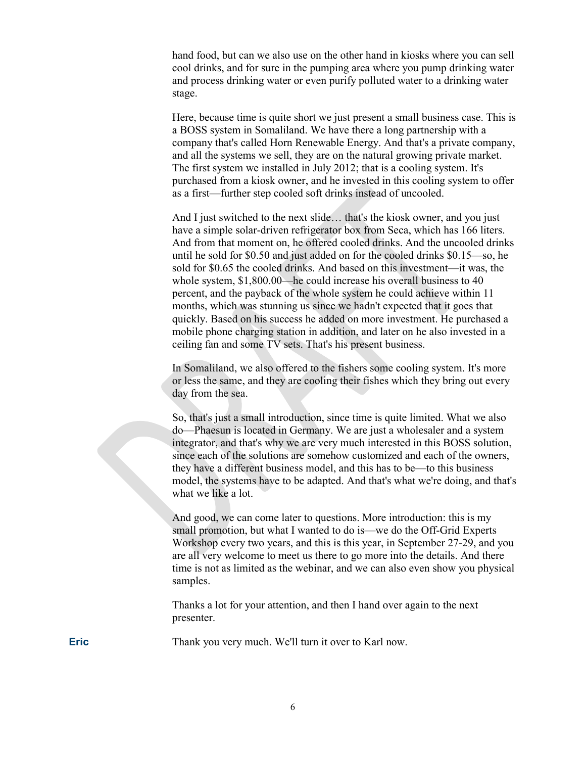hand food, but can we also use on the other hand in kiosks where you can sell cool drinks, and for sure in the pumping area where you pump drinking water and process drinking water or even purify polluted water to a drinking water stage.

Here, because time is quite short we just present a small business case. This is a BOSS system in Somaliland. We have there a long partnership with a company that's called Horn Renewable Energy. And that's a private company, and all the systems we sell, they are on the natural growing private market. The first system we installed in July 2012; that is a cooling system. It's purchased from a kiosk owner, and he invested in this cooling system to offer as a first—further step cooled soft drinks instead of uncooled.

And I just switched to the next slide… that's the kiosk owner, and you just have a simple solar-driven refrigerator box from Seca, which has 166 liters. And from that moment on, he offered cooled drinks. And the uncooled drinks until he sold for \$0.50 and just added on for the cooled drinks \$0.15—so, he sold for \$0.65 the cooled drinks. And based on this investment—it was, the whole system, \$1,800.00—he could increase his overall business to 40 percent, and the payback of the whole system he could achieve within 11 months, which was stunning us since we hadn't expected that it goes that quickly. Based on his success he added on more investment. He purchased a mobile phone charging station in addition, and later on he also invested in a ceiling fan and some TV sets. That's his present business.

In Somaliland, we also offered to the fishers some cooling system. It's more or less the same, and they are cooling their fishes which they bring out every day from the sea.

So, that's just a small introduction, since time is quite limited. What we also do—Phaesun is located in Germany. We are just a wholesaler and a system integrator, and that's why we are very much interested in this BOSS solution, since each of the solutions are somehow customized and each of the owners, they have a different business model, and this has to be—to this business model, the systems have to be adapted. And that's what we're doing, and that's what we like a lot.

And good, we can come later to questions. More introduction: this is my small promotion, but what I wanted to do is—we do the Off-Grid Experts Workshop every two years, and this is this year, in September 27-29, and you are all very welcome to meet us there to go more into the details. And there time is not as limited as the webinar, and we can also even show you physical samples.

Thanks a lot for your attention, and then I hand over again to the next presenter.

**Eric** Thank you very much. We'll turn it over to Karl now.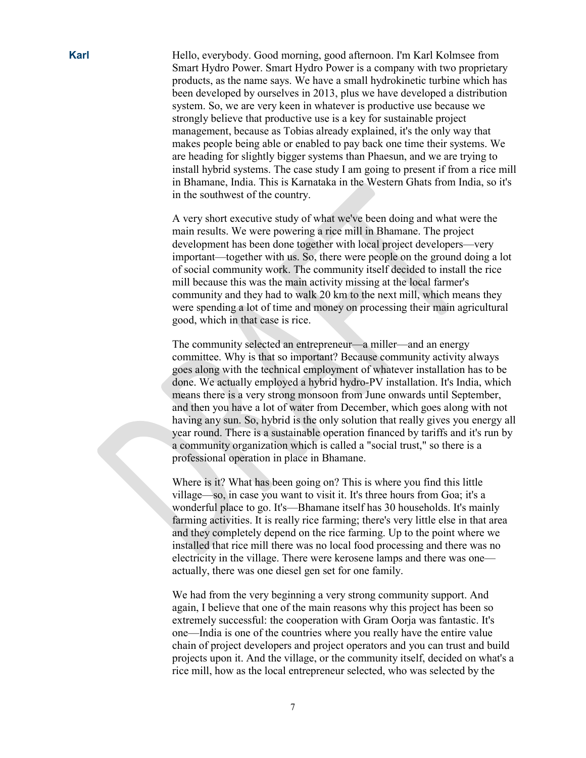**Karl** Hello, everybody. Good morning, good afternoon. I'm Karl Kolmsee from Smart Hydro Power. Smart Hydro Power is a company with two proprietary products, as the name says. We have a small hydrokinetic turbine which has been developed by ourselves in 2013, plus we have developed a distribution system. So, we are very keen in whatever is productive use because we strongly believe that productive use is a key for sustainable project management, because as Tobias already explained, it's the only way that makes people being able or enabled to pay back one time their systems. We are heading for slightly bigger systems than Phaesun, and we are trying to install hybrid systems. The case study I am going to present if from a rice mill in Bhamane, India. This is Karnataka in the Western Ghats from India, so it's in the southwest of the country.

> A very short executive study of what we've been doing and what were the main results. We were powering a rice mill in Bhamane. The project development has been done together with local project developers—very important—together with us. So, there were people on the ground doing a lot of social community work. The community itself decided to install the rice mill because this was the main activity missing at the local farmer's community and they had to walk 20 km to the next mill, which means they were spending a lot of time and money on processing their main agricultural good, which in that case is rice.

> The community selected an entrepreneur—a miller—and an energy committee. Why is that so important? Because community activity always goes along with the technical employment of whatever installation has to be done. We actually employed a hybrid hydro-PV installation. It's India, which means there is a very strong monsoon from June onwards until September, and then you have a lot of water from December, which goes along with not having any sun. So, hybrid is the only solution that really gives you energy all year round. There is a sustainable operation financed by tariffs and it's run by a community organization which is called a "social trust," so there is a professional operation in place in Bhamane.

Where is it? What has been going on? This is where you find this little village—so, in case you want to visit it. It's three hours from Goa; it's a wonderful place to go. It's—Bhamane itself has 30 households. It's mainly farming activities. It is really rice farming; there's very little else in that area and they completely depend on the rice farming. Up to the point where we installed that rice mill there was no local food processing and there was no electricity in the village. There were kerosene lamps and there was one actually, there was one diesel gen set for one family.

We had from the very beginning a very strong community support. And again, I believe that one of the main reasons why this project has been so extremely successful: the cooperation with Gram Oorja was fantastic. It's one—India is one of the countries where you really have the entire value chain of project developers and project operators and you can trust and build projects upon it. And the village, or the community itself, decided on what's a rice mill, how as the local entrepreneur selected, who was selected by the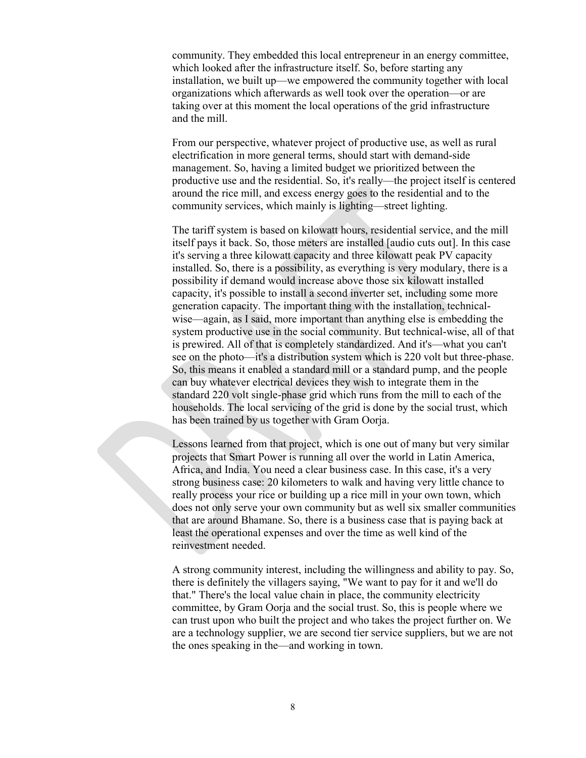community. They embedded this local entrepreneur in an energy committee, which looked after the infrastructure itself. So, before starting any installation, we built up—we empowered the community together with local organizations which afterwards as well took over the operation—or are taking over at this moment the local operations of the grid infrastructure and the mill.

From our perspective, whatever project of productive use, as well as rural electrification in more general terms, should start with demand-side management. So, having a limited budget we prioritized between the productive use and the residential. So, it's really—the project itself is centered around the rice mill, and excess energy goes to the residential and to the community services, which mainly is lighting—street lighting.

The tariff system is based on kilowatt hours, residential service, and the mill itself pays it back. So, those meters are installed [audio cuts out]. In this case it's serving a three kilowatt capacity and three kilowatt peak PV capacity installed. So, there is a possibility, as everything is very modulary, there is a possibility if demand would increase above those six kilowatt installed capacity, it's possible to install a second inverter set, including some more generation capacity. The important thing with the installation, technicalwise—again, as I said, more important than anything else is embedding the system productive use in the social community. But technical-wise, all of that is prewired. All of that is completely standardized. And it's—what you can't see on the photo—it's a distribution system which is 220 volt but three-phase. So, this means it enabled a standard mill or a standard pump, and the people can buy whatever electrical devices they wish to integrate them in the standard 220 volt single-phase grid which runs from the mill to each of the households. The local servicing of the grid is done by the social trust, which has been trained by us together with Gram Oorja.

Lessons learned from that project, which is one out of many but very similar projects that Smart Power is running all over the world in Latin America, Africa, and India. You need a clear business case. In this case, it's a very strong business case: 20 kilometers to walk and having very little chance to really process your rice or building up a rice mill in your own town, which does not only serve your own community but as well six smaller communities that are around Bhamane. So, there is a business case that is paying back at least the operational expenses and over the time as well kind of the reinvestment needed.

A strong community interest, including the willingness and ability to pay. So, there is definitely the villagers saying, "We want to pay for it and we'll do that." There's the local value chain in place, the community electricity committee, by Gram Oorja and the social trust. So, this is people where we can trust upon who built the project and who takes the project further on. We are a technology supplier, we are second tier service suppliers, but we are not the ones speaking in the—and working in town.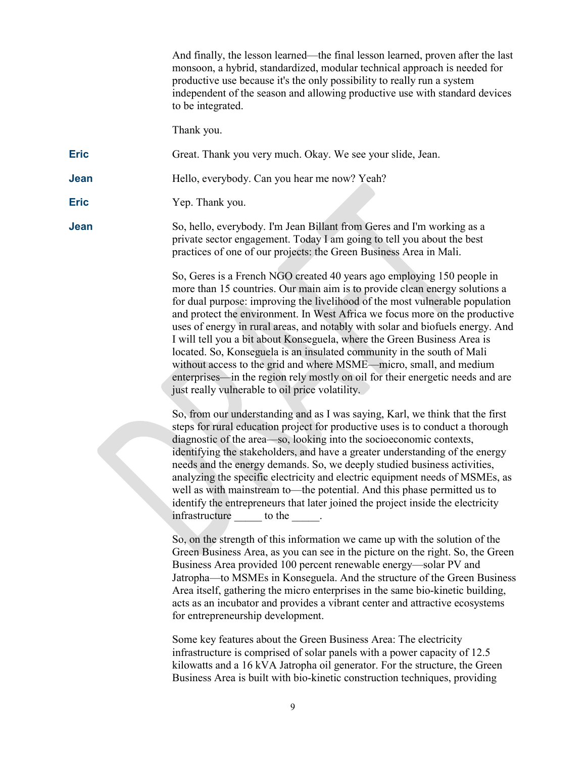And finally, the lesson learned—the final lesson learned, proven after the last monsoon, a hybrid, standardized, modular technical approach is needed for productive use because it's the only possibility to really run a system independent of the season and allowing productive use with standard devices to be integrated.

Thank you.

**Eric** Great. Thank you very much. Okay. We see your slide, Jean.

**Jean** Hello, everybody. Can you hear me now? Yeah?

**Eric** Yep. Thank you.

**Jean** So, hello, everybody. I'm Jean Billant from Geres and I'm working as a private sector engagement. Today I am going to tell you about the best practices of one of our projects: the Green Business Area in Mali.

> So, Geres is a French NGO created 40 years ago employing 150 people in more than 15 countries. Our main aim is to provide clean energy solutions a for dual purpose: improving the livelihood of the most vulnerable population and protect the environment. In West Africa we focus more on the productive uses of energy in rural areas, and notably with solar and biofuels energy. And I will tell you a bit about Konseguela, where the Green Business Area is located. So, Konseguela is an insulated community in the south of Mali without access to the grid and where MSME—micro, small, and medium enterprises—in the region rely mostly on oil for their energetic needs and are just really vulnerable to oil price volatility.

> So, from our understanding and as I was saying, Karl, we think that the first steps for rural education project for productive uses is to conduct a thorough diagnostic of the area—so, looking into the socioeconomic contexts, identifying the stakeholders, and have a greater understanding of the energy needs and the energy demands. So, we deeply studied business activities, analyzing the specific electricity and electric equipment needs of MSMEs, as well as with mainstream to—the potential. And this phase permitted us to identify the entrepreneurs that later joined the project inside the electricity infrastructure to the  $\qquad$ .

> So, on the strength of this information we came up with the solution of the Green Business Area, as you can see in the picture on the right. So, the Green Business Area provided 100 percent renewable energy—solar PV and Jatropha—to MSMEs in Konseguela. And the structure of the Green Business Area itself, gathering the micro enterprises in the same bio-kinetic building, acts as an incubator and provides a vibrant center and attractive ecosystems for entrepreneurship development.

Some key features about the Green Business Area: The electricity infrastructure is comprised of solar panels with a power capacity of 12.5 kilowatts and a 16 kVA Jatropha oil generator. For the structure, the Green Business Area is built with bio-kinetic construction techniques, providing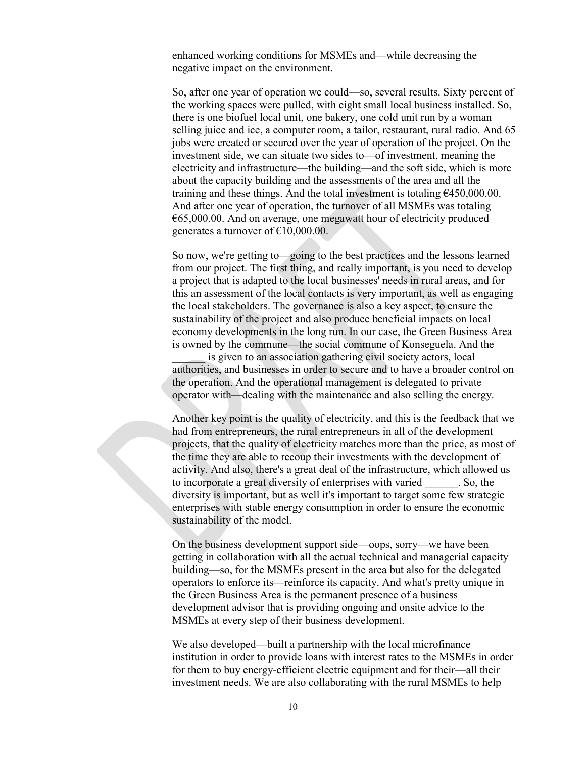enhanced working conditions for MSMEs and—while decreasing the negative impact on the environment.

So, after one year of operation we could—so, several results. Sixty percent of the working spaces were pulled, with eight small local business installed. So, there is one biofuel local unit, one bakery, one cold unit run by a woman selling juice and ice, a computer room, a tailor, restaurant, rural radio. And 65 jobs were created or secured over the year of operation of the project. On the investment side, we can situate two sides to—of investment, meaning the electricity and infrastructure—the building—and the soft side, which is more about the capacity building and the assessments of the area and all the training and these things. And the total investment is totaling  $\epsilon$ 450,000.00. And after one year of operation, the turnover of all MSMEs was totaling  $665,000.00$ . And on average, one megawatt hour of electricity produced generates a turnover of  $£10,000.00$ .

So now, we're getting to—going to the best practices and the lessons learned from our project. The first thing, and really important, is you need to develop a project that is adapted to the local businesses' needs in rural areas, and for this an assessment of the local contacts is very important, as well as engaging the local stakeholders. The governance is also a key aspect, to ensure the sustainability of the project and also produce beneficial impacts on local economy developments in the long run. In our case, the Green Business Area is owned by the commune—the social commune of Konseguela. And the

is given to an association gathering civil society actors, local authorities, and businesses in order to secure and to have a broader control on the operation. And the operational management is delegated to private operator with—dealing with the maintenance and also selling the energy.

Another key point is the quality of electricity, and this is the feedback that we had from entrepreneurs, the rural entrepreneurs in all of the development projects, that the quality of electricity matches more than the price, as most of the time they are able to recoup their investments with the development of activity. And also, there's a great deal of the infrastructure, which allowed us to incorporate a great diversity of enterprises with varied \_\_\_\_\_\_. So, the diversity is important, but as well it's important to target some few strategic enterprises with stable energy consumption in order to ensure the economic sustainability of the model.

On the business development support side—oops, sorry—we have been getting in collaboration with all the actual technical and managerial capacity building—so, for the MSMEs present in the area but also for the delegated operators to enforce its—reinforce its capacity. And what's pretty unique in the Green Business Area is the permanent presence of a business development advisor that is providing ongoing and onsite advice to the MSMEs at every step of their business development.

We also developed—built a partnership with the local microfinance institution in order to provide loans with interest rates to the MSMEs in order for them to buy energy-efficient electric equipment and for their—all their investment needs. We are also collaborating with the rural MSMEs to help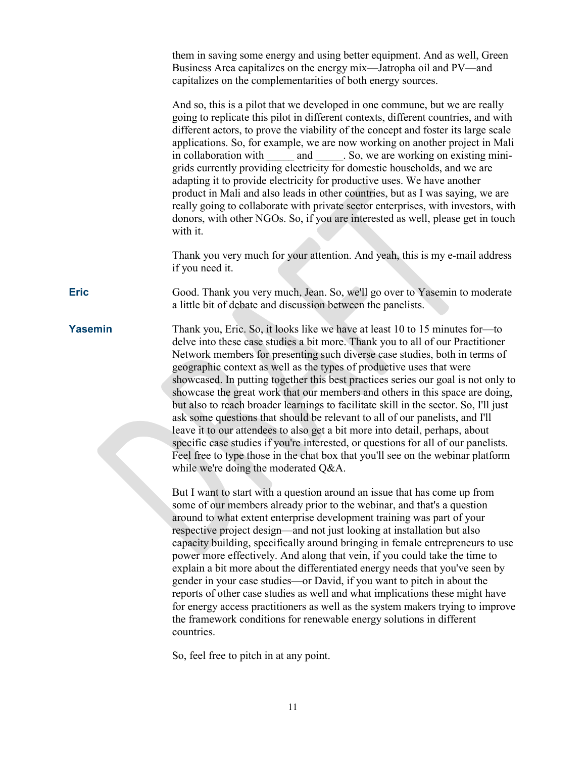them in saving some energy and using better equipment. And as well, Green Business Area capitalizes on the energy mix—Jatropha oil and PV—and capitalizes on the complementarities of both energy sources.

And so, this is a pilot that we developed in one commune, but we are really going to replicate this pilot in different contexts, different countries, and with different actors, to prove the viability of the concept and foster its large scale applications. So, for example, we are now working on another project in Mali in collaboration with and \_\_\_\_\_. So, we are working on existing minigrids currently providing electricity for domestic households, and we are adapting it to provide electricity for productive uses. We have another product in Mali and also leads in other countries, but as I was saying, we are really going to collaborate with private sector enterprises, with investors, with donors, with other NGOs. So, if you are interested as well, please get in touch with it.

Thank you very much for your attention. And yeah, this is my e-mail address if you need it.

**Eric** Good. Thank you very much, Jean. So, we'll go over to Yasemin to moderate a little bit of debate and discussion between the panelists.

**Yasemin** Thank you, Eric. So, it looks like we have at least 10 to 15 minutes for—to delve into these case studies a bit more. Thank you to all of our Practitioner Network members for presenting such diverse case studies, both in terms of geographic context as well as the types of productive uses that were showcased. In putting together this best practices series our goal is not only to showcase the great work that our members and others in this space are doing, but also to reach broader learnings to facilitate skill in the sector. So, I'll just ask some questions that should be relevant to all of our panelists, and I'll leave it to our attendees to also get a bit more into detail, perhaps, about specific case studies if you're interested, or questions for all of our panelists. Feel free to type those in the chat box that you'll see on the webinar platform while we're doing the moderated Q&A.

> But I want to start with a question around an issue that has come up from some of our members already prior to the webinar, and that's a question around to what extent enterprise development training was part of your respective project design—and not just looking at installation but also capacity building, specifically around bringing in female entrepreneurs to use power more effectively. And along that vein, if you could take the time to explain a bit more about the differentiated energy needs that you've seen by gender in your case studies—or David, if you want to pitch in about the reports of other case studies as well and what implications these might have for energy access practitioners as well as the system makers trying to improve the framework conditions for renewable energy solutions in different countries.

So, feel free to pitch in at any point.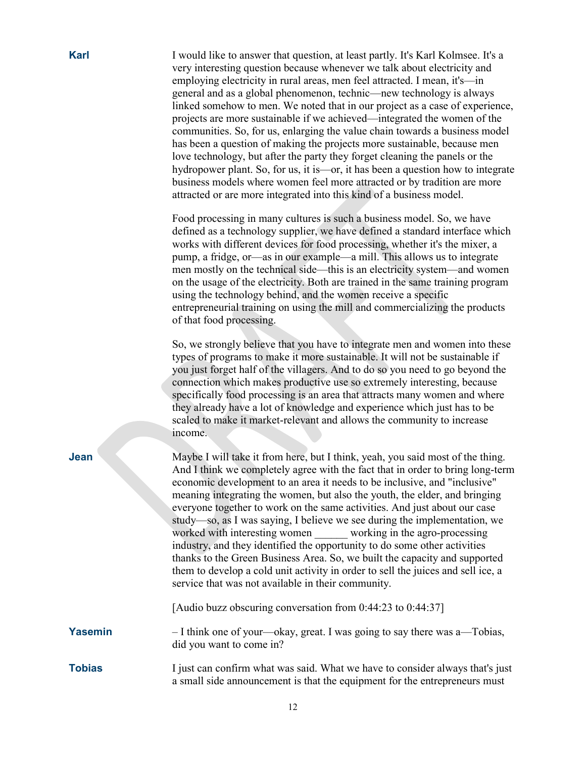| <b>Karl</b>    | I would like to answer that question, at least partly. It's Karl Kolmsee. It's a<br>very interesting question because whenever we talk about electricity and<br>employing electricity in rural areas, men feel attracted. I mean, it's—in<br>general and as a global phenomenon, technic—new technology is always<br>linked somehow to men. We noted that in our project as a case of experience,<br>projects are more sustainable if we achieved—integrated the women of the<br>communities. So, for us, enlarging the value chain towards a business model<br>has been a question of making the projects more sustainable, because men<br>love technology, but after the party they forget cleaning the panels or the<br>hydropower plant. So, for us, it is—or, it has been a question how to integrate<br>business models where women feel more attracted or by tradition are more<br>attracted or are more integrated into this kind of a business model. |
|----------------|----------------------------------------------------------------------------------------------------------------------------------------------------------------------------------------------------------------------------------------------------------------------------------------------------------------------------------------------------------------------------------------------------------------------------------------------------------------------------------------------------------------------------------------------------------------------------------------------------------------------------------------------------------------------------------------------------------------------------------------------------------------------------------------------------------------------------------------------------------------------------------------------------------------------------------------------------------------|
|                | Food processing in many cultures is such a business model. So, we have<br>defined as a technology supplier, we have defined a standard interface which<br>works with different devices for food processing, whether it's the mixer, a<br>pump, a fridge, or—as in our example—a mill. This allows us to integrate<br>men mostly on the technical side—this is an electricity system—and women<br>on the usage of the electricity. Both are trained in the same training program<br>using the technology behind, and the women receive a specific<br>entrepreneurial training on using the mill and commercializing the products<br>of that food processing.                                                                                                                                                                                                                                                                                                    |
|                | So, we strongly believe that you have to integrate men and women into these<br>types of programs to make it more sustainable. It will not be sustainable if<br>you just forget half of the villagers. And to do so you need to go beyond the<br>connection which makes productive use so extremely interesting, because<br>specifically food processing is an area that attracts many women and where<br>they already have a lot of knowledge and experience which just has to be<br>scaled to make it market-relevant and allows the community to increase<br>income.                                                                                                                                                                                                                                                                                                                                                                                         |
| Jean           | Maybe I will take it from here, but I think, yeah, you said most of the thing.<br>And I think we completely agree with the fact that in order to bring long-term<br>economic development to an area it needs to be inclusive, and "inclusive"<br>meaning integrating the women, but also the youth, the elder, and bringing<br>everyone together to work on the same activities. And just about our case<br>study—so, as I was saying, I believe we see during the implementation, we<br>worked with interesting women working in the agro-processing<br>industry, and they identified the opportunity to do some other activities<br>thanks to the Green Business Area. So, we built the capacity and supported<br>them to develop a cold unit activity in order to sell the juices and sell ice, a<br>service that was not available in their community.                                                                                                     |
|                | [Audio buzz obscuring conversation from 0:44:23 to 0:44:37]                                                                                                                                                                                                                                                                                                                                                                                                                                                                                                                                                                                                                                                                                                                                                                                                                                                                                                    |
| <b>Yasemin</b> | - I think one of your—okay, great. I was going to say there was a—Tobias,<br>did you want to come in?                                                                                                                                                                                                                                                                                                                                                                                                                                                                                                                                                                                                                                                                                                                                                                                                                                                          |
| <b>Tobias</b>  | I just can confirm what was said. What we have to consider always that's just                                                                                                                                                                                                                                                                                                                                                                                                                                                                                                                                                                                                                                                                                                                                                                                                                                                                                  |

a small side announcement is that the equipment for the entrepreneurs must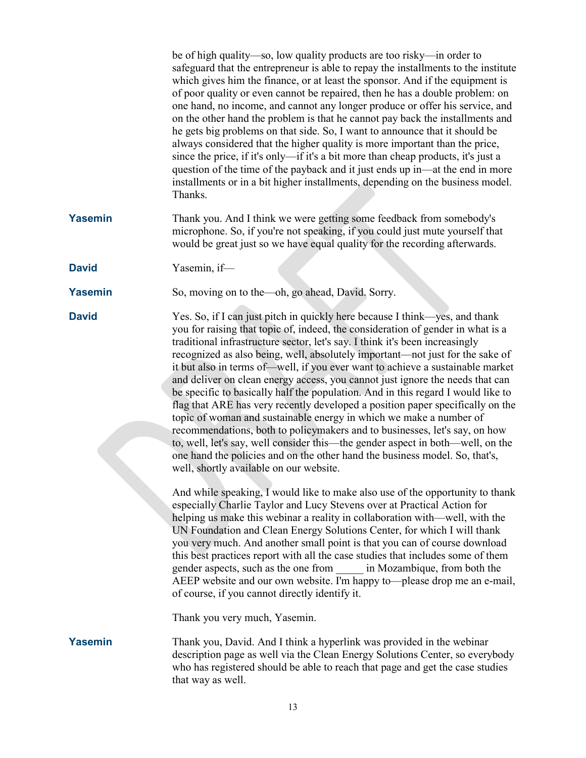be of high quality—so, low quality products are too risky—in order to safeguard that the entrepreneur is able to repay the installments to the institute which gives him the finance, or at least the sponsor. And if the equipment is of poor quality or even cannot be repaired, then he has a double problem: on one hand, no income, and cannot any longer produce or offer his service, and on the other hand the problem is that he cannot pay back the installments and he gets big problems on that side. So, I want to announce that it should be always considered that the higher quality is more important than the price, since the price, if it's only—if it's a bit more than cheap products, it's just a question of the time of the payback and it just ends up in—at the end in more installments or in a bit higher installments, depending on the business model. Thanks.

- **Yasemin** Thank you. And I think we were getting some feedback from somebody's microphone. So, if you're not speaking, if you could just mute yourself that would be great just so we have equal quality for the recording afterwards.
- **David** Yasemin, if—
- **Yasemin** So, moving on to the—oh, go ahead, David. Sorry.

**David** Yes. So, if I can just pitch in quickly here because I think—yes, and thank you for raising that topic of, indeed, the consideration of gender in what is a traditional infrastructure sector, let's say. I think it's been increasingly recognized as also being, well, absolutely important—not just for the sake of it but also in terms of—well, if you ever want to achieve a sustainable market and deliver on clean energy access, you cannot just ignore the needs that can be specific to basically half the population. And in this regard I would like to flag that ARE has very recently developed a position paper specifically on the topic of woman and sustainable energy in which we make a number of recommendations, both to policymakers and to businesses, let's say, on how to, well, let's say, well consider this—the gender aspect in both—well, on the one hand the policies and on the other hand the business model. So, that's, well, shortly available on our website.

> And while speaking, I would like to make also use of the opportunity to thank especially Charlie Taylor and Lucy Stevens over at Practical Action for helping us make this webinar a reality in collaboration with—well, with the UN Foundation and Clean Energy Solutions Center, for which I will thank you very much. And another small point is that you can of course download this best practices report with all the case studies that includes some of them gender aspects, such as the one from \_\_\_\_\_ in Mozambique, from both the AEEP website and our own website. I'm happy to—please drop me an e-mail, of course, if you cannot directly identify it.

Thank you very much, Yasemin.

**Yasemin** Thank you, David. And I think a hyperlink was provided in the webinar description page as well via the Clean Energy Solutions Center, so everybody who has registered should be able to reach that page and get the case studies that way as well.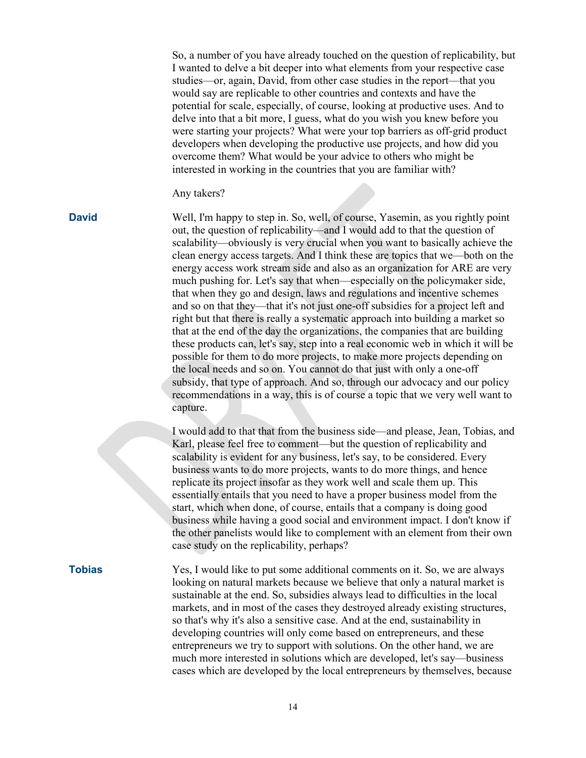So, a number of you have already touched on the question of replicability, but I wanted to delve a bit deeper into what elements from your respective case studies—or, again, David, from other case studies in the report—that you would say are replicable to other countries and contexts and have the potential for scale, especially, of course, looking at productive uses. And to delve into that a bit more, I guess, what do you wish you knew before you were starting your projects? What were your top barriers as off-grid product developers when developing the productive use projects, and how did you overcome them? What would be your advice to others who might be interested in working in the countries that you are familiar with?

#### Any takers?

**David** Well, I'm happy to step in. So, well, of course, Yasemin, as you rightly point out, the question of replicability—and I would add to that the question of scalability—obviously is very crucial when you want to basically achieve the clean energy access targets. And I think these are topics that we—both on the energy access work stream side and also as an organization for ARE are very much pushing for. Let's say that when—especially on the policymaker side, that when they go and design, laws and regulations and incentive schemes and so on that they—that it's not just one-off subsidies for a project left and right but that there is really a systematic approach into building a market so that at the end of the day the organizations, the companies that are building these products can, let's say, step into a real economic web in which it will be possible for them to do more projects, to make more projects depending on the local needs and so on. You cannot do that just with only a one-off subsidy, that type of approach. And so, through our advocacy and our policy recommendations in a way, this is of course a topic that we very well want to capture.

> I would add to that that from the business side—and please, Jean, Tobias, and Karl, please feel free to comment—but the question of replicability and scalability is evident for any business, let's say, to be considered. Every business wants to do more projects, wants to do more things, and hence replicate its project insofar as they work well and scale them up. This essentially entails that you need to have a proper business model from the start, which when done, of course, entails that a company is doing good business while having a good social and environment impact. I don't know if the other panelists would like to complement with an element from their own case study on the replicability, perhaps?

**Tobias** Yes, I would like to put some additional comments on it. So, we are always looking on natural markets because we believe that only a natural market is sustainable at the end. So, subsidies always lead to difficulties in the local markets, and in most of the cases they destroyed already existing structures, so that's why it's also a sensitive case. And at the end, sustainability in developing countries will only come based on entrepreneurs, and these entrepreneurs we try to support with solutions. On the other hand, we are much more interested in solutions which are developed, let's say—business cases which are developed by the local entrepreneurs by themselves, because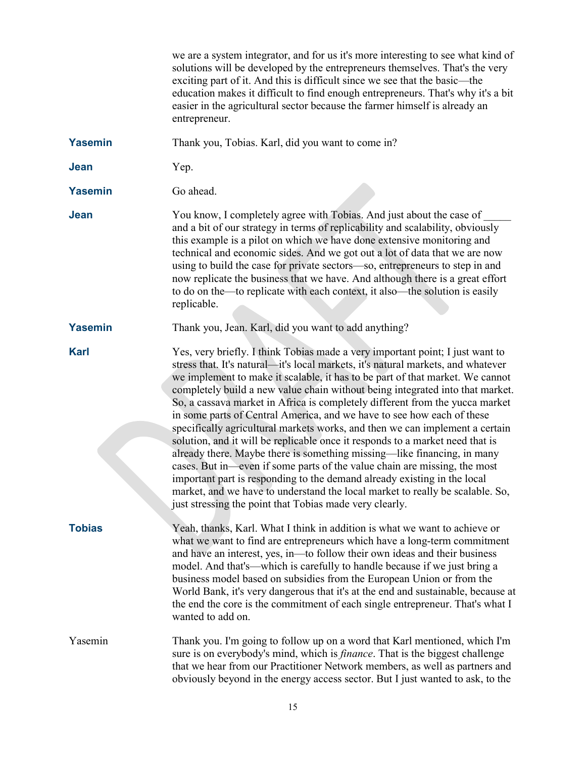|                | we are a system integrator, and for us it's more interesting to see what kind of<br>solutions will be developed by the entrepreneurs themselves. That's the very<br>exciting part of it. And this is difficult since we see that the basic—the<br>education makes it difficult to find enough entrepreneurs. That's why it's a bit<br>easier in the agricultural sector because the farmer himself is already an<br>entrepreneur.                                                                                                                                                                                                                                                                                                                                                                                                                                                                                                                                                                                                              |
|----------------|------------------------------------------------------------------------------------------------------------------------------------------------------------------------------------------------------------------------------------------------------------------------------------------------------------------------------------------------------------------------------------------------------------------------------------------------------------------------------------------------------------------------------------------------------------------------------------------------------------------------------------------------------------------------------------------------------------------------------------------------------------------------------------------------------------------------------------------------------------------------------------------------------------------------------------------------------------------------------------------------------------------------------------------------|
| <b>Yasemin</b> | Thank you, Tobias. Karl, did you want to come in?                                                                                                                                                                                                                                                                                                                                                                                                                                                                                                                                                                                                                                                                                                                                                                                                                                                                                                                                                                                              |
| <b>Jean</b>    | Yep.                                                                                                                                                                                                                                                                                                                                                                                                                                                                                                                                                                                                                                                                                                                                                                                                                                                                                                                                                                                                                                           |
| <b>Yasemin</b> | Go ahead.                                                                                                                                                                                                                                                                                                                                                                                                                                                                                                                                                                                                                                                                                                                                                                                                                                                                                                                                                                                                                                      |
| Jean           | You know, I completely agree with Tobias. And just about the case of<br>and a bit of our strategy in terms of replicability and scalability, obviously<br>this example is a pilot on which we have done extensive monitoring and<br>technical and economic sides. And we got out a lot of data that we are now<br>using to build the case for private sectors—so, entrepreneurs to step in and<br>now replicate the business that we have. And although there is a great effort<br>to do on the—to replicate with each context, it also—the solution is easily<br>replicable.                                                                                                                                                                                                                                                                                                                                                                                                                                                                  |
| <b>Yasemin</b> | Thank you, Jean. Karl, did you want to add anything?                                                                                                                                                                                                                                                                                                                                                                                                                                                                                                                                                                                                                                                                                                                                                                                                                                                                                                                                                                                           |
| <b>Karl</b>    | Yes, very briefly. I think Tobias made a very important point; I just want to<br>stress that. It's natural—it's local markets, it's natural markets, and whatever<br>we implement to make it scalable, it has to be part of that market. We cannot<br>completely build a new value chain without being integrated into that market.<br>So, a cassava market in Africa is completely different from the yucca market<br>in some parts of Central America, and we have to see how each of these<br>specifically agricultural markets works, and then we can implement a certain<br>solution, and it will be replicable once it responds to a market need that is<br>already there. Maybe there is something missing—like financing, in many<br>cases. But in—even if some parts of the value chain are missing, the most<br>important part is responding to the demand already existing in the local<br>market, and we have to understand the local market to really be scalable. So,<br>just stressing the point that Tobias made very clearly. |
| <b>Tobias</b>  | Yeah, thanks, Karl. What I think in addition is what we want to achieve or<br>what we want to find are entrepreneurs which have a long-term commitment<br>and have an interest, yes, in—to follow their own ideas and their business<br>model. And that's—which is carefully to handle because if we just bring a<br>business model based on subsidies from the European Union or from the<br>World Bank, it's very dangerous that it's at the end and sustainable, because at<br>the end the core is the commitment of each single entrepreneur. That's what I<br>wanted to add on.                                                                                                                                                                                                                                                                                                                                                                                                                                                           |
| Yasemin        | Thank you. I'm going to follow up on a word that Karl mentioned, which I'm<br>sure is on everybody's mind, which is <i>finance</i> . That is the biggest challenge<br>that we hear from our Practitioner Network members, as well as partners and<br>obviously beyond in the energy access sector. But I just wanted to ask, to the                                                                                                                                                                                                                                                                                                                                                                                                                                                                                                                                                                                                                                                                                                            |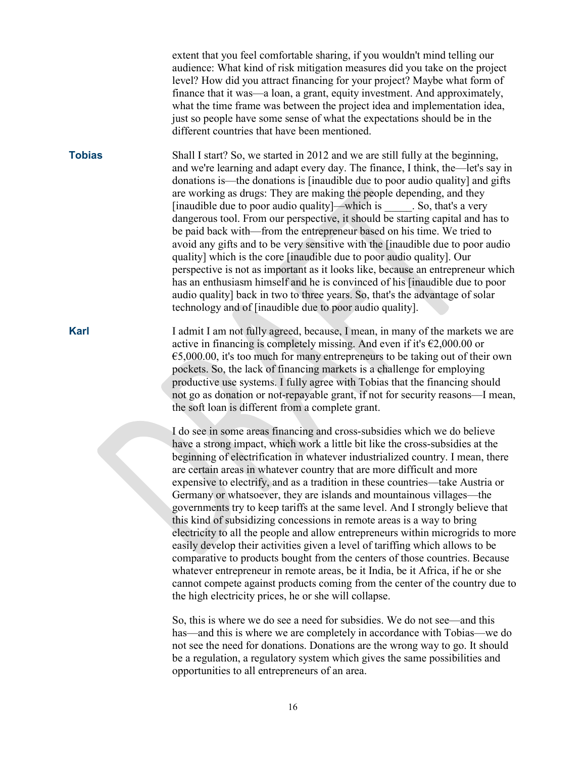extent that you feel comfortable sharing, if you wouldn't mind telling our audience: What kind of risk mitigation measures did you take on the project level? How did you attract financing for your project? Maybe what form of finance that it was—a loan, a grant, equity investment. And approximately, what the time frame was between the project idea and implementation idea, just so people have some sense of what the expectations should be in the different countries that have been mentioned.

**Tobias** Shall I start? So, we started in 2012 and we are still fully at the beginning, and we're learning and adapt every day. The finance, I think, the—let's say in donations is—the donations is [inaudible due to poor audio quality] and gifts are working as drugs: They are making the people depending, and they [inaudible due to poor audio quality]—which is \_\_\_\_\_. So, that's a very dangerous tool. From our perspective, it should be starting capital and has to be paid back with—from the entrepreneur based on his time. We tried to avoid any gifts and to be very sensitive with the [inaudible due to poor audio quality] which is the core [inaudible due to poor audio quality]. Our perspective is not as important as it looks like, because an entrepreneur which has an enthusiasm himself and he is convinced of his [inaudible due to poor audio quality] back in two to three years. So, that's the advantage of solar technology and of [inaudible due to poor audio quality].

**Karl** I admit I am not fully agreed, because, I mean, in many of the markets we are active in financing is completely missing. And even if it's  $\epsilon$ 2,000.00 or  $65,000.00$ , it's too much for many entrepreneurs to be taking out of their own pockets. So, the lack of financing markets is a challenge for employing productive use systems. I fully agree with Tobias that the financing should not go as donation or not-repayable grant, if not for security reasons—I mean, the soft loan is different from a complete grant.

> I do see in some areas financing and cross-subsidies which we do believe have a strong impact, which work a little bit like the cross-subsidies at the beginning of electrification in whatever industrialized country. I mean, there are certain areas in whatever country that are more difficult and more expensive to electrify, and as a tradition in these countries—take Austria or Germany or whatsoever, they are islands and mountainous villages—the governments try to keep tariffs at the same level. And I strongly believe that this kind of subsidizing concessions in remote areas is a way to bring electricity to all the people and allow entrepreneurs within microgrids to more easily develop their activities given a level of tariffing which allows to be comparative to products bought from the centers of those countries. Because whatever entrepreneur in remote areas, be it India, be it Africa, if he or she cannot compete against products coming from the center of the country due to the high electricity prices, he or she will collapse.

So, this is where we do see a need for subsidies. We do not see—and this has—and this is where we are completely in accordance with Tobias—we do not see the need for donations. Donations are the wrong way to go. It should be a regulation, a regulatory system which gives the same possibilities and opportunities to all entrepreneurs of an area.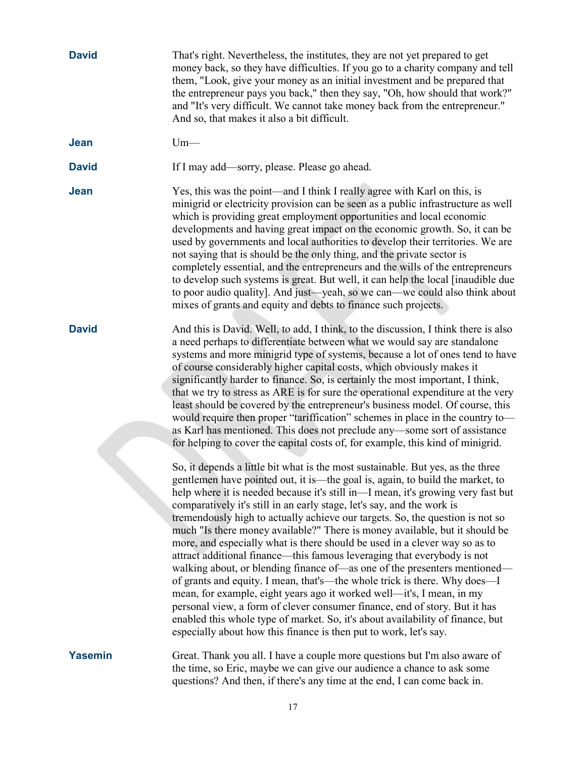| <b>David</b>   | That's right. Nevertheless, the institutes, they are not yet prepared to get<br>money back, so they have difficulties. If you go to a charity company and tell<br>them, "Look, give your money as an initial investment and be prepared that<br>the entrepreneur pays you back," then they say, "Oh, how should that work?"<br>and "It's very difficult. We cannot take money back from the entrepreneur."<br>And so, that makes it also a bit difficult.                                                                                                                                                                                                                                                                                                                                                                                                                                                                                                                                                                                                                                                                       |
|----------------|---------------------------------------------------------------------------------------------------------------------------------------------------------------------------------------------------------------------------------------------------------------------------------------------------------------------------------------------------------------------------------------------------------------------------------------------------------------------------------------------------------------------------------------------------------------------------------------------------------------------------------------------------------------------------------------------------------------------------------------------------------------------------------------------------------------------------------------------------------------------------------------------------------------------------------------------------------------------------------------------------------------------------------------------------------------------------------------------------------------------------------|
| <b>Jean</b>    | $Um-$                                                                                                                                                                                                                                                                                                                                                                                                                                                                                                                                                                                                                                                                                                                                                                                                                                                                                                                                                                                                                                                                                                                           |
| <b>David</b>   | If I may add—sorry, please. Please go ahead.                                                                                                                                                                                                                                                                                                                                                                                                                                                                                                                                                                                                                                                                                                                                                                                                                                                                                                                                                                                                                                                                                    |
| Jean           | Yes, this was the point—and I think I really agree with Karl on this, is<br>minigrid or electricity provision can be seen as a public infrastructure as well<br>which is providing great employment opportunities and local economic<br>developments and having great impact on the economic growth. So, it can be<br>used by governments and local authorities to develop their territories. We are<br>not saying that is should be the only thing, and the private sector is<br>completely essential, and the entrepreneurs and the wills of the entrepreneurs<br>to develop such systems is great. But well, it can help the local [inaudible due<br>to poor audio quality]. And just—yeah, so we can—we could also think about<br>mixes of grants and equity and debts to finance such projects.                                                                                                                                                                                                                                                                                                                            |
| <b>David</b>   | And this is David. Well, to add, I think, to the discussion, I think there is also<br>a need perhaps to differentiate between what we would say are standalone<br>systems and more minigrid type of systems, because a lot of ones tend to have<br>of course considerably higher capital costs, which obviously makes it<br>significantly harder to finance. So, is certainly the most important, I think,<br>that we try to stress as ARE is for sure the operational expenditure at the very<br>least should be covered by the entrepreneur's business model. Of course, this<br>would require then proper "tariffication" schemes in place in the country to-<br>as Karl has mentioned. This does not preclude any—some sort of assistance<br>for helping to cover the capital costs of, for example, this kind of minigrid.                                                                                                                                                                                                                                                                                                 |
|                | So, it depends a little bit what is the most sustainable. But yes, as the three<br>gentlemen have pointed out, it is—the goal is, again, to build the market, to<br>help where it is needed because it's still in—I mean, it's growing very fast but<br>comparatively it's still in an early stage, let's say, and the work is<br>tremendously high to actually achieve our targets. So, the question is not so<br>much "Is there money available?" There is money available, but it should be<br>more, and especially what is there should be used in a clever way so as to<br>attract additional finance—this famous leveraging that everybody is not<br>walking about, or blending finance of—as one of the presenters mentioned—<br>of grants and equity. I mean, that's—the whole trick is there. Why does—I<br>mean, for example, eight years ago it worked well—it's, I mean, in my<br>personal view, a form of clever consumer finance, end of story. But it has<br>enabled this whole type of market. So, it's about availability of finance, but<br>especially about how this finance is then put to work, let's say. |
| <b>Yasemin</b> | Great. Thank you all. I have a couple more questions but I'm also aware of<br>the time, so Eric, maybe we can give our audience a chance to ask some<br>questions? And then, if there's any time at the end, I can come back in.                                                                                                                                                                                                                                                                                                                                                                                                                                                                                                                                                                                                                                                                                                                                                                                                                                                                                                |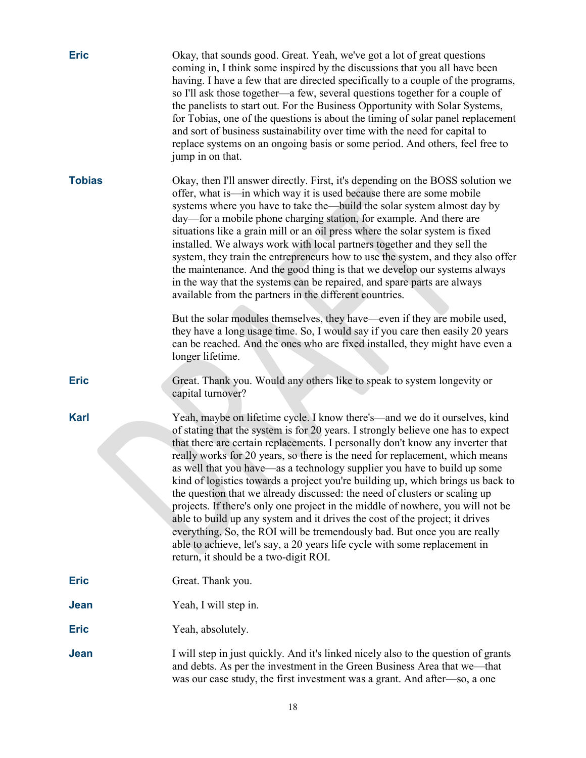| <b>Eric</b>   | Okay, that sounds good. Great. Yeah, we've got a lot of great questions<br>coming in, I think some inspired by the discussions that you all have been<br>having. I have a few that are directed specifically to a couple of the programs,<br>so I'll ask those together—a few, several questions together for a couple of<br>the panelists to start out. For the Business Opportunity with Solar Systems,<br>for Tobias, one of the questions is about the timing of solar panel replacement<br>and sort of business sustainability over time with the need for capital to<br>replace systems on an ongoing basis or some period. And others, feel free to<br>jump in on that.                                                                                                                                                                                                                                                                       |
|---------------|------------------------------------------------------------------------------------------------------------------------------------------------------------------------------------------------------------------------------------------------------------------------------------------------------------------------------------------------------------------------------------------------------------------------------------------------------------------------------------------------------------------------------------------------------------------------------------------------------------------------------------------------------------------------------------------------------------------------------------------------------------------------------------------------------------------------------------------------------------------------------------------------------------------------------------------------------|
| <b>Tobias</b> | Okay, then I'll answer directly. First, it's depending on the BOSS solution we<br>offer, what is—in which way it is used because there are some mobile<br>systems where you have to take the—build the solar system almost day by<br>day—for a mobile phone charging station, for example. And there are<br>situations like a grain mill or an oil press where the solar system is fixed<br>installed. We always work with local partners together and they sell the<br>system, they train the entrepreneurs how to use the system, and they also offer<br>the maintenance. And the good thing is that we develop our systems always<br>in the way that the systems can be repaired, and spare parts are always<br>available from the partners in the different countries.                                                                                                                                                                           |
|               | But the solar modules themselves, they have—even if they are mobile used,<br>they have a long usage time. So, I would say if you care then easily 20 years<br>can be reached. And the ones who are fixed installed, they might have even a<br>longer lifetime.                                                                                                                                                                                                                                                                                                                                                                                                                                                                                                                                                                                                                                                                                       |
| <b>Eric</b>   | Great. Thank you. Would any others like to speak to system longevity or<br>capital turnover?                                                                                                                                                                                                                                                                                                                                                                                                                                                                                                                                                                                                                                                                                                                                                                                                                                                         |
| <b>Karl</b>   | Yeah, maybe on lifetime cycle. I know there's—and we do it ourselves, kind<br>of stating that the system is for 20 years. I strongly believe one has to expect<br>that there are certain replacements. I personally don't know any inverter that<br>really works for 20 years, so there is the need for replacement, which means<br>as well that you have—as a technology supplier you have to build up some<br>kind of logistics towards a project you're building up, which brings us back to<br>the question that we already discussed: the need of clusters or scaling up<br>projects. If there's only one project in the middle of nowhere, you will not be<br>able to build up any system and it drives the cost of the project; it drives<br>everything. So, the ROI will be tremendously bad. But once you are really<br>able to achieve, let's say, a 20 years life cycle with some replacement in<br>return, it should be a two-digit ROI. |
| <b>Eric</b>   | Great. Thank you.                                                                                                                                                                                                                                                                                                                                                                                                                                                                                                                                                                                                                                                                                                                                                                                                                                                                                                                                    |
| Jean          | Yeah, I will step in.                                                                                                                                                                                                                                                                                                                                                                                                                                                                                                                                                                                                                                                                                                                                                                                                                                                                                                                                |
| <b>Eric</b>   | Yeah, absolutely.                                                                                                                                                                                                                                                                                                                                                                                                                                                                                                                                                                                                                                                                                                                                                                                                                                                                                                                                    |
| Jean          | I will step in just quickly. And it's linked nicely also to the question of grants<br>and debts. As per the investment in the Green Business Area that we-that<br>was our case study, the first investment was a grant. And after—so, a one                                                                                                                                                                                                                                                                                                                                                                                                                                                                                                                                                                                                                                                                                                          |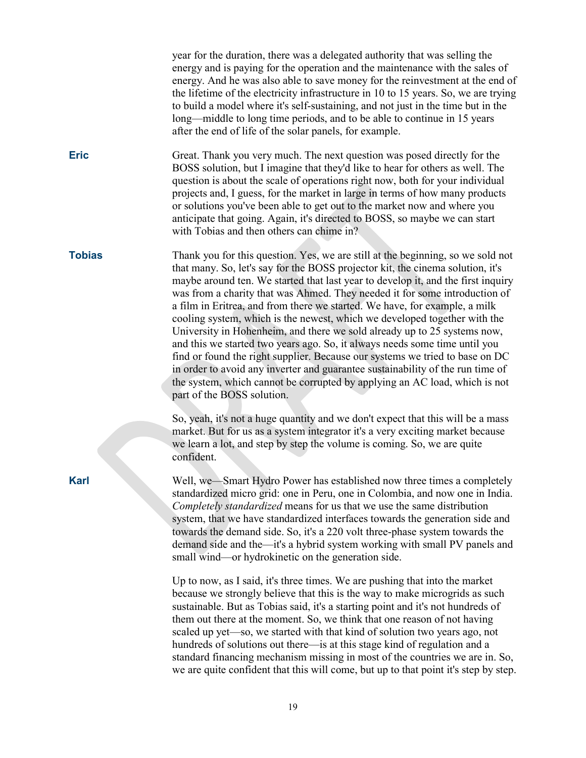year for the duration, there was a delegated authority that was selling the energy and is paying for the operation and the maintenance with the sales of energy. And he was also able to save money for the reinvestment at the end of the lifetime of the electricity infrastructure in 10 to 15 years. So, we are trying to build a model where it's self-sustaining, and not just in the time but in the long—middle to long time periods, and to be able to continue in 15 years after the end of life of the solar panels, for example.

**Eric** Great. Thank you very much. The next question was posed directly for the BOSS solution, but I imagine that they'd like to hear for others as well. The question is about the scale of operations right now, both for your individual projects and, I guess, for the market in large in terms of how many products or solutions you've been able to get out to the market now and where you anticipate that going. Again, it's directed to BOSS, so maybe we can start with Tobias and then others can chime in?

**Tobias** Thank you for this question. Yes, we are still at the beginning, so we sold not that many. So, let's say for the BOSS projector kit, the cinema solution, it's maybe around ten. We started that last year to develop it, and the first inquiry was from a charity that was Ahmed. They needed it for some introduction of a film in Eritrea, and from there we started. We have, for example, a milk cooling system, which is the newest, which we developed together with the University in Hohenheim, and there we sold already up to 25 systems now, and this we started two years ago. So, it always needs some time until you find or found the right supplier. Because our systems we tried to base on DC in order to avoid any inverter and guarantee sustainability of the run time of the system, which cannot be corrupted by applying an AC load, which is not part of the BOSS solution.

> So, yeah, it's not a huge quantity and we don't expect that this will be a mass market. But for us as a system integrator it's a very exciting market because we learn a lot, and step by step the volume is coming. So, we are quite confident.

**Karl** Well, we—Smart Hydro Power has established now three times a completely standardized micro grid: one in Peru, one in Colombia, and now one in India. *Completely standardized* means for us that we use the same distribution system, that we have standardized interfaces towards the generation side and towards the demand side. So, it's a 220 volt three-phase system towards the demand side and the—it's a hybrid system working with small PV panels and small wind—or hydrokinetic on the generation side.

> Up to now, as I said, it's three times. We are pushing that into the market because we strongly believe that this is the way to make microgrids as such sustainable. But as Tobias said, it's a starting point and it's not hundreds of them out there at the moment. So, we think that one reason of not having scaled up yet—so, we started with that kind of solution two years ago, not hundreds of solutions out there—is at this stage kind of regulation and a standard financing mechanism missing in most of the countries we are in. So, we are quite confident that this will come, but up to that point it's step by step.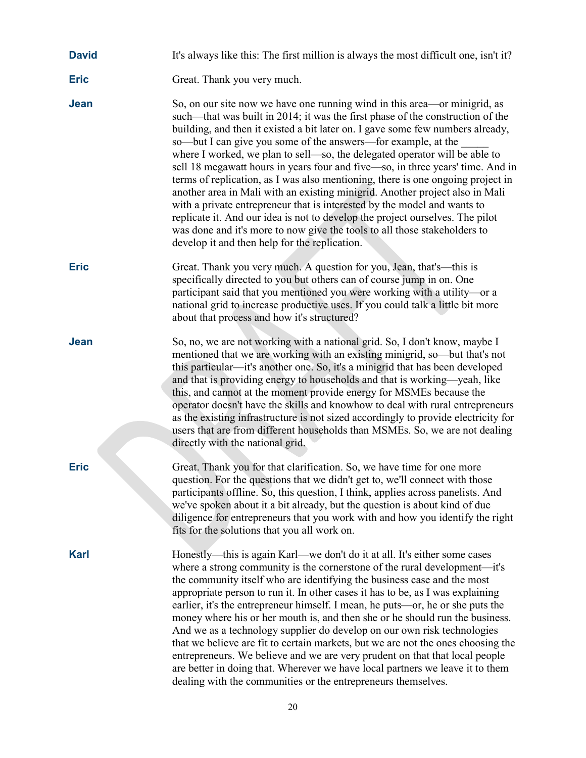| <b>David</b> |  | It's always like this: The first million is always the most difficult one, isn't it? |  |
|--------------|--|--------------------------------------------------------------------------------------|--|
|--------------|--|--------------------------------------------------------------------------------------|--|

- **Eric** Great. Thank you very much.
- **Jean** So, on our site now we have one running wind in this area—or minigrid, as such—that was built in 2014; it was the first phase of the construction of the building, and then it existed a bit later on. I gave some few numbers already, so—but I can give you some of the answers—for example, at the where I worked, we plan to sell—so, the delegated operator will be able to sell 18 megawatt hours in years four and five—so, in three years' time. And in terms of replication, as I was also mentioning, there is one ongoing project in another area in Mali with an existing minigrid. Another project also in Mali with a private entrepreneur that is interested by the model and wants to replicate it. And our idea is not to develop the project ourselves. The pilot was done and it's more to now give the tools to all those stakeholders to develop it and then help for the replication.
- **Eric** Great. Thank you very much. A question for you, Jean, that's—this is specifically directed to you but others can of course jump in on. One participant said that you mentioned you were working with a utility—or a national grid to increase productive uses. If you could talk a little bit more about that process and how it's structured?
- **Jean** So, no, we are not working with a national grid. So, I don't know, maybe I mentioned that we are working with an existing minigrid, so—but that's not this particular—it's another one. So, it's a minigrid that has been developed and that is providing energy to households and that is working—yeah, like this, and cannot at the moment provide energy for MSMEs because the operator doesn't have the skills and knowhow to deal with rural entrepreneurs as the existing infrastructure is not sized accordingly to provide electricity for users that are from different households than MSMEs. So, we are not dealing directly with the national grid.
- 

**Eric** Great. Thank you for that clarification. So, we have time for one more question. For the questions that we didn't get to, we'll connect with those participants offline. So, this question, I think, applies across panelists. And we've spoken about it a bit already, but the question is about kind of due diligence for entrepreneurs that you work with and how you identify the right fits for the solutions that you all work on.

**Karl** Honestly—this is again Karl—we don't do it at all. It's either some cases where a strong community is the cornerstone of the rural development—it's the community itself who are identifying the business case and the most appropriate person to run it. In other cases it has to be, as I was explaining earlier, it's the entrepreneur himself. I mean, he puts—or, he or she puts the money where his or her mouth is, and then she or he should run the business. And we as a technology supplier do develop on our own risk technologies that we believe are fit to certain markets, but we are not the ones choosing the entrepreneurs. We believe and we are very prudent on that that local people are better in doing that. Wherever we have local partners we leave it to them dealing with the communities or the entrepreneurs themselves.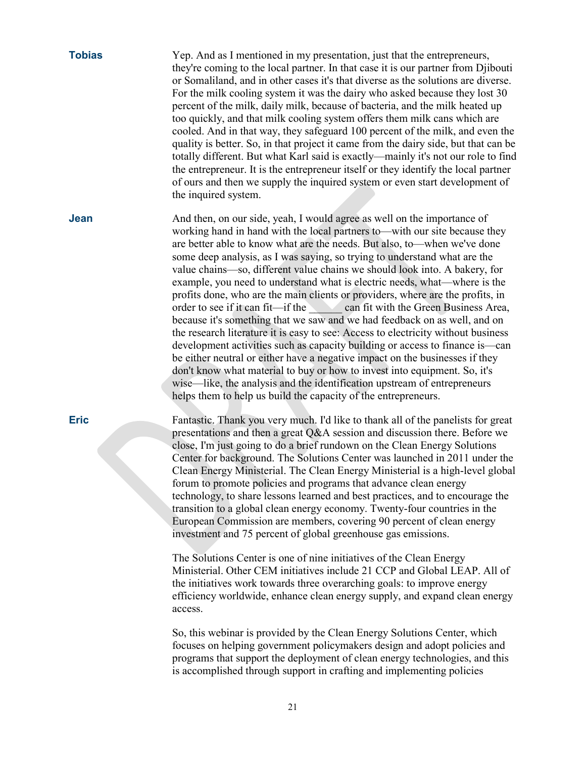| <b>Tobias</b> | Yep. And as I mentioned in my presentation, just that the entrepreneurs,<br>they're coming to the local partner. In that case it is our partner from Djibouti<br>or Somaliland, and in other cases it's that diverse as the solutions are diverse.<br>For the milk cooling system it was the dairy who asked because they lost 30<br>percent of the milk, daily milk, because of bacteria, and the milk heated up<br>too quickly, and that milk cooling system offers them milk cans which are<br>cooled. And in that way, they safeguard 100 percent of the milk, and even the<br>quality is better. So, in that project it came from the dairy side, but that can be<br>totally different. But what Karl said is exactly—mainly it's not our role to find<br>the entrepreneur. It is the entrepreneur itself or they identify the local partner<br>of ours and then we supply the inquired system or even start development of<br>the inquired system.                                                                                                                                                                                                                                            |
|---------------|-----------------------------------------------------------------------------------------------------------------------------------------------------------------------------------------------------------------------------------------------------------------------------------------------------------------------------------------------------------------------------------------------------------------------------------------------------------------------------------------------------------------------------------------------------------------------------------------------------------------------------------------------------------------------------------------------------------------------------------------------------------------------------------------------------------------------------------------------------------------------------------------------------------------------------------------------------------------------------------------------------------------------------------------------------------------------------------------------------------------------------------------------------------------------------------------------------|
| Jean          | And then, on our side, yeah, I would agree as well on the importance of<br>working hand in hand with the local partners to—with our site because they<br>are better able to know what are the needs. But also, to—when we've done<br>some deep analysis, as I was saying, so trying to understand what are the<br>value chains—so, different value chains we should look into. A bakery, for<br>example, you need to understand what is electric needs, what—where is the<br>profits done, who are the main clients or providers, where are the profits, in<br>order to see if it can fit—if the can fit with the Green Business Area,<br>because it's something that we saw and we had feedback on as well, and on<br>the research literature it is easy to see: Access to electricity without business<br>development activities such as capacity building or access to finance is—can<br>be either neutral or either have a negative impact on the businesses if they<br>don't know what material to buy or how to invest into equipment. So, it's<br>wise—like, the analysis and the identification upstream of entrepreneurs<br>helps them to help us build the capacity of the entrepreneurs. |
|               | the company of the company of the company of the company of the company of the company of the company of the company of the company of the company of the company of the company of the company of the company of the company<br>$\frac{1}{2}$ $\frac{1}{2}$ $\frac{1}{2}$ $\frac{1}{2}$ $\frac{1}{2}$ $\frac{1}{2}$ $\frac{1}{2}$ $\frac{1}{2}$ $\frac{1}{2}$ $\frac{1}{2}$ $\frac{1}{2}$ $\frac{1}{2}$ $\frac{1}{2}$ $\frac{1}{2}$ $\frac{1}{2}$ $\frac{1}{2}$ $\frac{1}{2}$ $\frac{1}{2}$ $\frac{1}{2}$ $\frac{1}{2}$ $\frac{1}{2}$ $\frac{1}{2}$                                                                                                                                                                                                                                                                                                                                                                                                                                                                                                                                                                                                                                                |

**Eric** Fantastic. Thank you very much. I'd like to thank all of the panelists for great presentations and then a great Q&A session and discussion there. Before we close, I'm just going to do a brief rundown on the Clean Energy Solutions Center for background. The Solutions Center was launched in 2011 under the Clean Energy Ministerial. The Clean Energy Ministerial is a high-level global forum to promote policies and programs that advance clean energy technology, to share lessons learned and best practices, and to encourage the transition to a global clean energy economy. Twenty-four countries in the European Commission are members, covering 90 percent of clean energy investment and 75 percent of global greenhouse gas emissions.

> The Solutions Center is one of nine initiatives of the Clean Energy Ministerial. Other CEM initiatives include 21 CCP and Global LEAP. All of the initiatives work towards three overarching goals: to improve energy efficiency worldwide, enhance clean energy supply, and expand clean energy access.

So, this webinar is provided by the Clean Energy Solutions Center, which focuses on helping government policymakers design and adopt policies and programs that support the deployment of clean energy technologies, and this is accomplished through support in crafting and implementing policies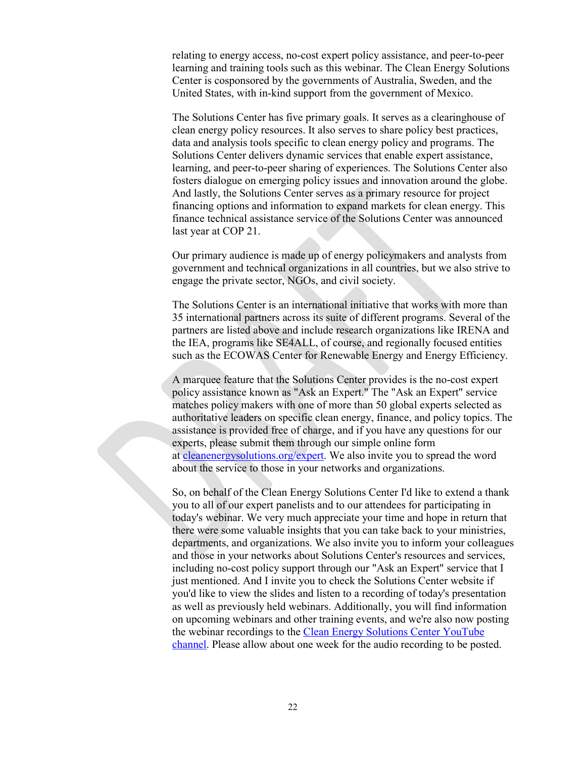relating to energy access, no-cost expert policy assistance, and peer-to-peer learning and training tools such as this webinar. The Clean Energy Solutions Center is cosponsored by the governments of Australia, Sweden, and the United States, with in-kind support from the government of Mexico.

The Solutions Center has five primary goals. It serves as a clearinghouse of clean energy policy resources. It also serves to share policy best practices, data and analysis tools specific to clean energy policy and programs. The Solutions Center delivers dynamic services that enable expert assistance, learning, and peer-to-peer sharing of experiences. The Solutions Center also fosters dialogue on emerging policy issues and innovation around the globe. And lastly, the Solutions Center serves as a primary resource for project financing options and information to expand markets for clean energy. This finance technical assistance service of the Solutions Center was announced last year at COP 21.

Our primary audience is made up of energy policymakers and analysts from government and technical organizations in all countries, but we also strive to engage the private sector, NGOs, and civil society.

The Solutions Center is an international initiative that works with more than 35 international partners across its suite of different programs. Several of the partners are listed above and include research organizations like IRENA and the IEA, programs like SE4ALL, of course, and regionally focused entities such as the ECOWAS Center for Renewable Energy and Energy Efficiency.

A marquee feature that the Solutions Center provides is the no-cost expert policy assistance known as "Ask an Expert." The "Ask an Expert" service matches policy makers with one of more than 50 global experts selected as authoritative leaders on specific clean energy, finance, and policy topics. The assistance is provided free of charge, and if you have any questions for our experts, please submit them through our simple online form at [cleanenergysolutions.org/expert.](https://cleanenergysolutions.org/expert) We also invite you to spread the word about the service to those in your networks and organizations.

So, on behalf of the Clean Energy Solutions Center I'd like to extend a thank you to all of our expert panelists and to our attendees for participating in today's webinar. We very much appreciate your time and hope in return that there were some valuable insights that you can take back to your ministries, departments, and organizations. We also invite you to inform your colleagues and those in your networks about Solutions Center's resources and services, including no-cost policy support through our "Ask an Expert" service that I just mentioned. And I invite you to check the Solutions Center website if you'd like to view the slides and listen to a recording of today's presentation as well as previously held webinars. Additionally, you will find information on upcoming webinars and other training events, and we're also now posting the webinar recordings to the [Clean Energy Solutions Center YouTube](https://www.youtube.com/user/cleanenergypolicy)  [channel.](https://www.youtube.com/user/cleanenergypolicy) Please allow about one week for the audio recording to be posted.